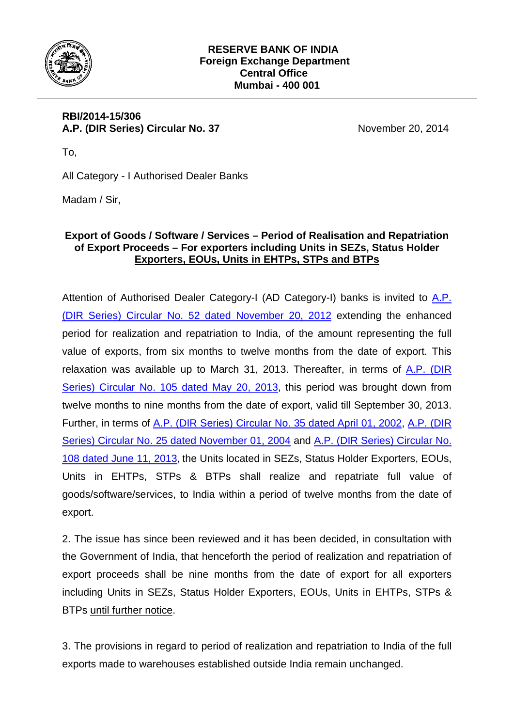

## **RBI/2014-15/306 A.P. (DIR Series) Circular No. 37** November 20, 2014

To,

All Category - I Authorised Dealer Banks

Madam / Sir,

## **Export of Goods / Software / Services – Period of Realisation and Repatriation of Export Proceeds – For exporters including Units in SEZs, Status Holder Exporters, EOUs, Units in EHTPs, STPs and BTPs**

Attention of Authorised Dealer Category-I (AD Category-I) banks is invited to [A.P.](http://www.rbi.org.in/scripts/NotificationUser.aspx?Id=7702&Mode=0)  [\(DIR Series\) Circular No. 52 dated November 20, 2012](http://www.rbi.org.in/scripts/NotificationUser.aspx?Id=7702&Mode=0) extending the enhanced period for realization and repatriation to India, of the amount representing the full value of exports, from six months to twelve months from the date of export. This relaxation was available up to March 31, 2013. Thereafter, in terms of  $A.P.$  (DIR [Series\) Circular No. 105 dated May 20, 2013](http://www.rbi.org.in/scripts/NotificationUser.aspx?Id=7991&Mode=0), this period was brought down from twelve months to nine months from the date of export, valid till September 30, 2013. Further, in terms of [A.P. \(DIR Series\) Circular No. 35 dated April 01, 2002,](http://www.rbi.org.in/scripts/NotificationUser.aspx?Id=610&Mode=0) [A.P. \(DIR](http://www.rbi.org.in/Scripts/NotificationUser.aspx?Id=2003&Mode=0)  [Series\) Circular No. 25 dated November 01, 2004](http://www.rbi.org.in/Scripts/NotificationUser.aspx?Id=2003&Mode=0) and [A.P. \(DIR Series\) Circular No.](http://www.rbi.org.in/Scripts/NotificationUser.aspx?Id=8027&Mode=0)  [108 dated June 11, 2013](http://www.rbi.org.in/Scripts/NotificationUser.aspx?Id=8027&Mode=0), the Units located in SEZs, Status Holder Exporters, EOUs, Units in EHTPs, STPs & BTPs shall realize and repatriate full value of goods/software/services, to India within a period of twelve months from the date of export.

2. The issue has since been reviewed and it has been decided, in consultation with the Government of India, that henceforth the period of realization and repatriation of export proceeds shall be nine months from the date of export for all exporters including Units in SEZs, Status Holder Exporters, EOUs, Units in EHTPs, STPs & BTPs until further notice.

3. The provisions in regard to period of realization and repatriation to India of the full exports made to warehouses established outside India remain unchanged.